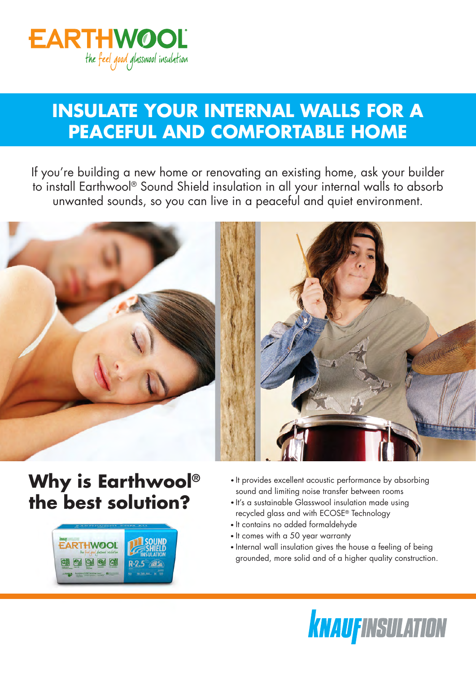

## **INSULATE YOUR INTERNAL WALLS FOR A PEACEFUL AND COMFORTABLE HOME**

If you're building a new home or renovating an existing home, ask your builder to install Earthwool® Sound Shield insulation in all your internal walls to absorb unwanted sounds, so you can live in a peaceful and quiet environment.



## **Why is Earthwool® the best solution?**



- $\bullet$  It provides excellent acoustic performance by absorbing sound and limiting noise transfer between rooms
- It's a sustainable Glasswool insulation made using recycled glass and with ECOSE® Technology
- It contains no added formaldehyde
- It comes with a 50 year warranty
- Internal wall insulation gives the house a feeling of being grounded, more solid and of a higher quality construction.